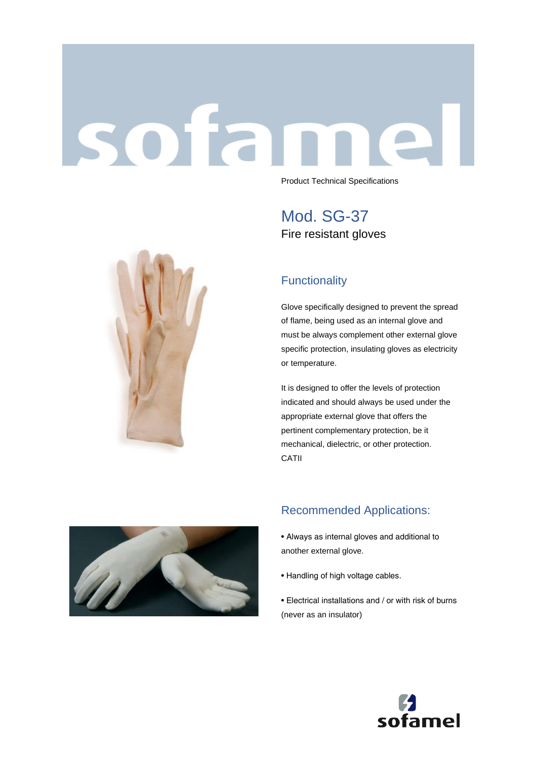# sotar



Product Technical Specifications

Mod. SG-37 Fire resistant gloves

## **Functionality**

Glove specifically designed to prevent the spread of flame, being used as an internal glove and must be always complement other external glove specific protection, insulating gloves as electricity or temperature.

It is designed to offer the levels of protection indicated and should always be used under the appropriate external glove that offers the pertinent complementary protection, be it mechanical, dielectric, or other protection. CATII



### Recommended Applications:

- Always as internal gloves and additional to another external glove.
- Handling of high voltage cables.
- Electrical installations and / or with risk of burns (never as an insulator)